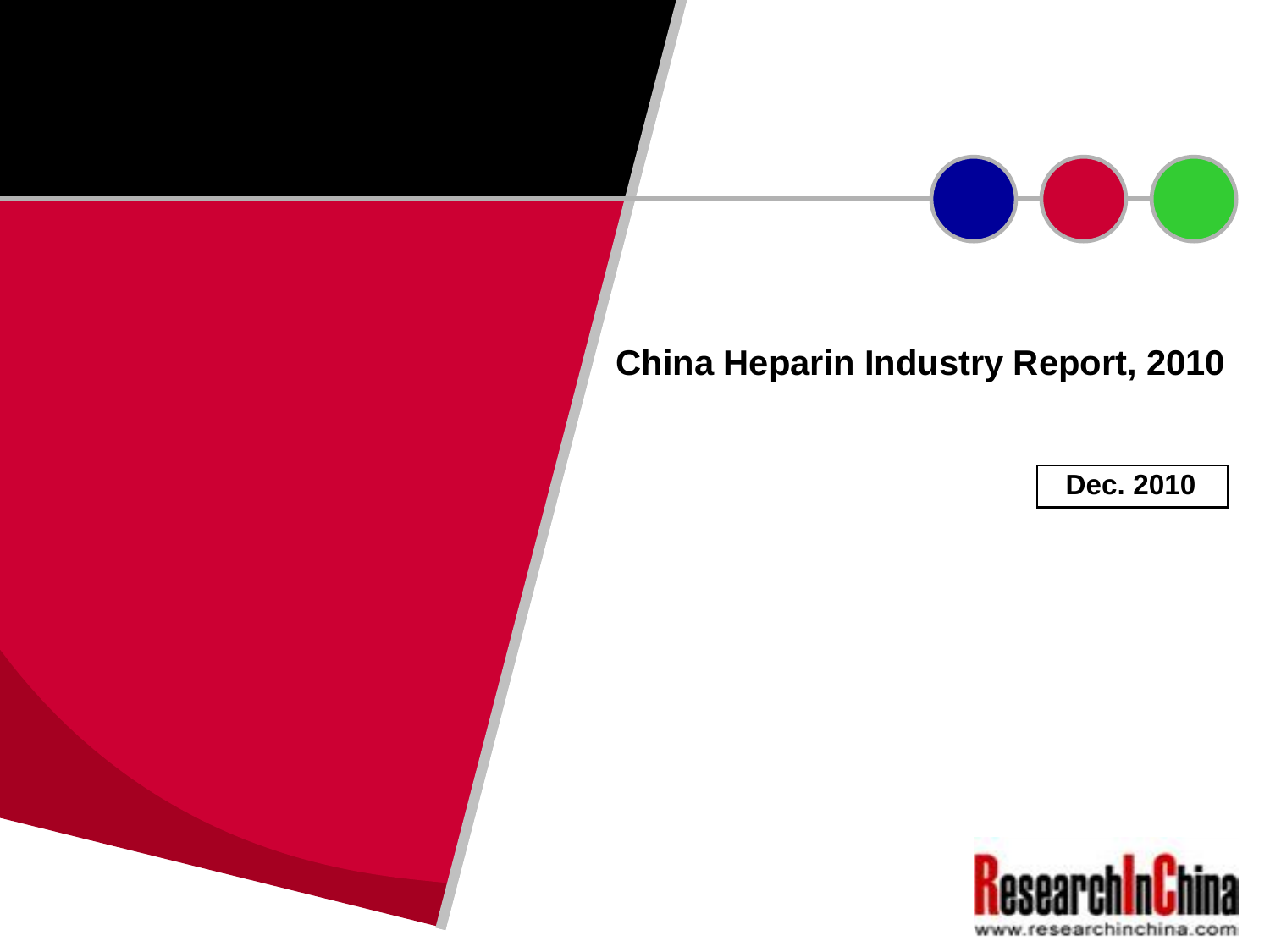# **China Heparin Industry Report, 2010**

**Dec. 2010**

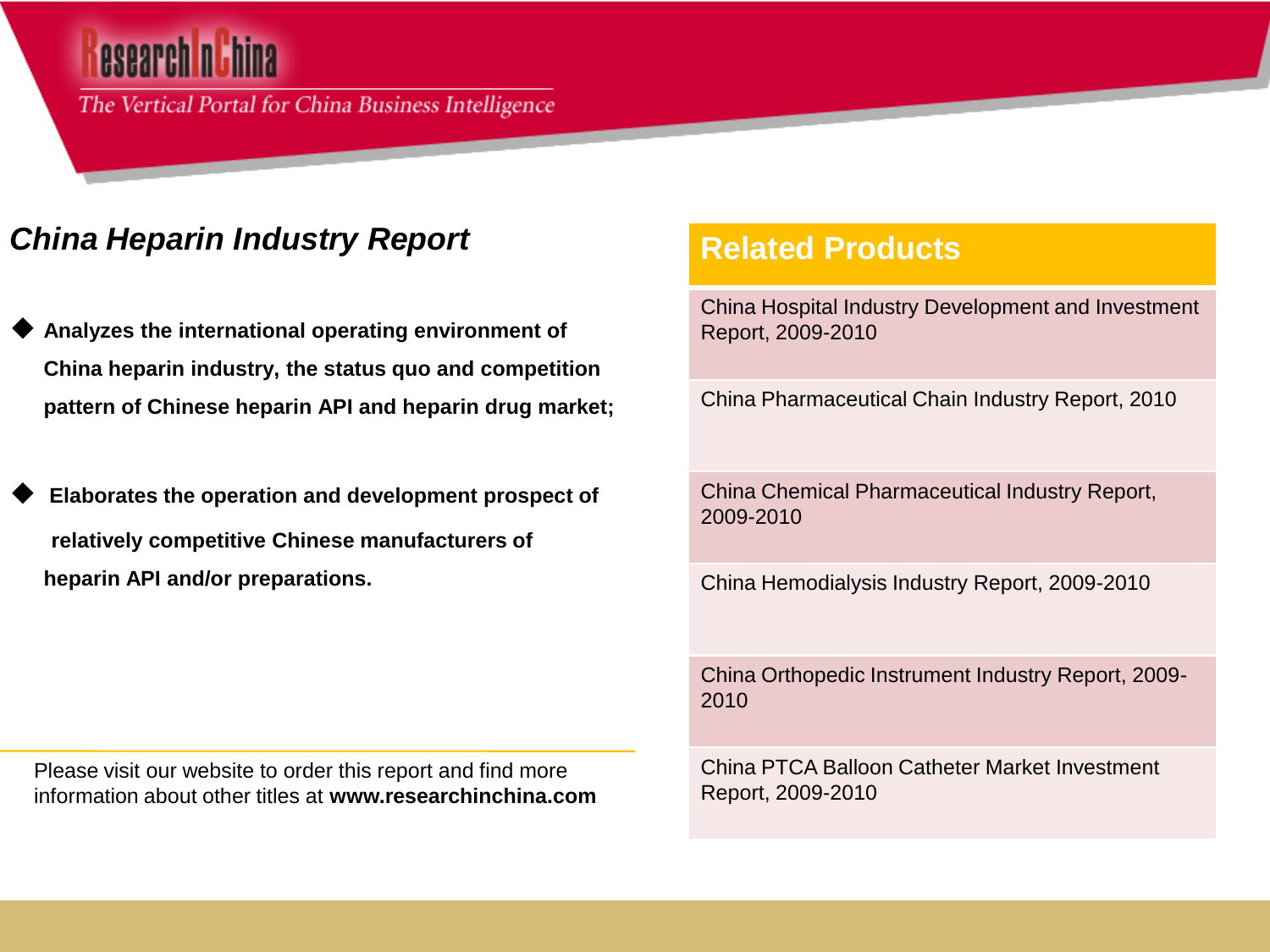The Vertical Portal for China Business Intelligence

# *China Heparin Industry Report*

- **Analyzes the international operating environment of China heparin industry, the status quo and competition pattern of Chinese heparin API and heparin drug market;**
- **Elaborates the operation and development prospect of relatively competitive Chinese manufacturers of heparin API and/or preparations.**

Please visit our website to order this report and find more information about other titles at **www.researchinchina.com**

## **Related Products**

China Hospital Industry Development and Investment Report, 2009-2010

China Pharmaceutical Chain Industry Report, 2010

China Chemical Pharmaceutical Industry Report, 2009-2010

China Hemodialysis Industry Report, 2009-2010

China Orthopedic Instrument Industry Report, 2009- 2010

China PTCA Balloon Catheter Market Investment Report, 2009-2010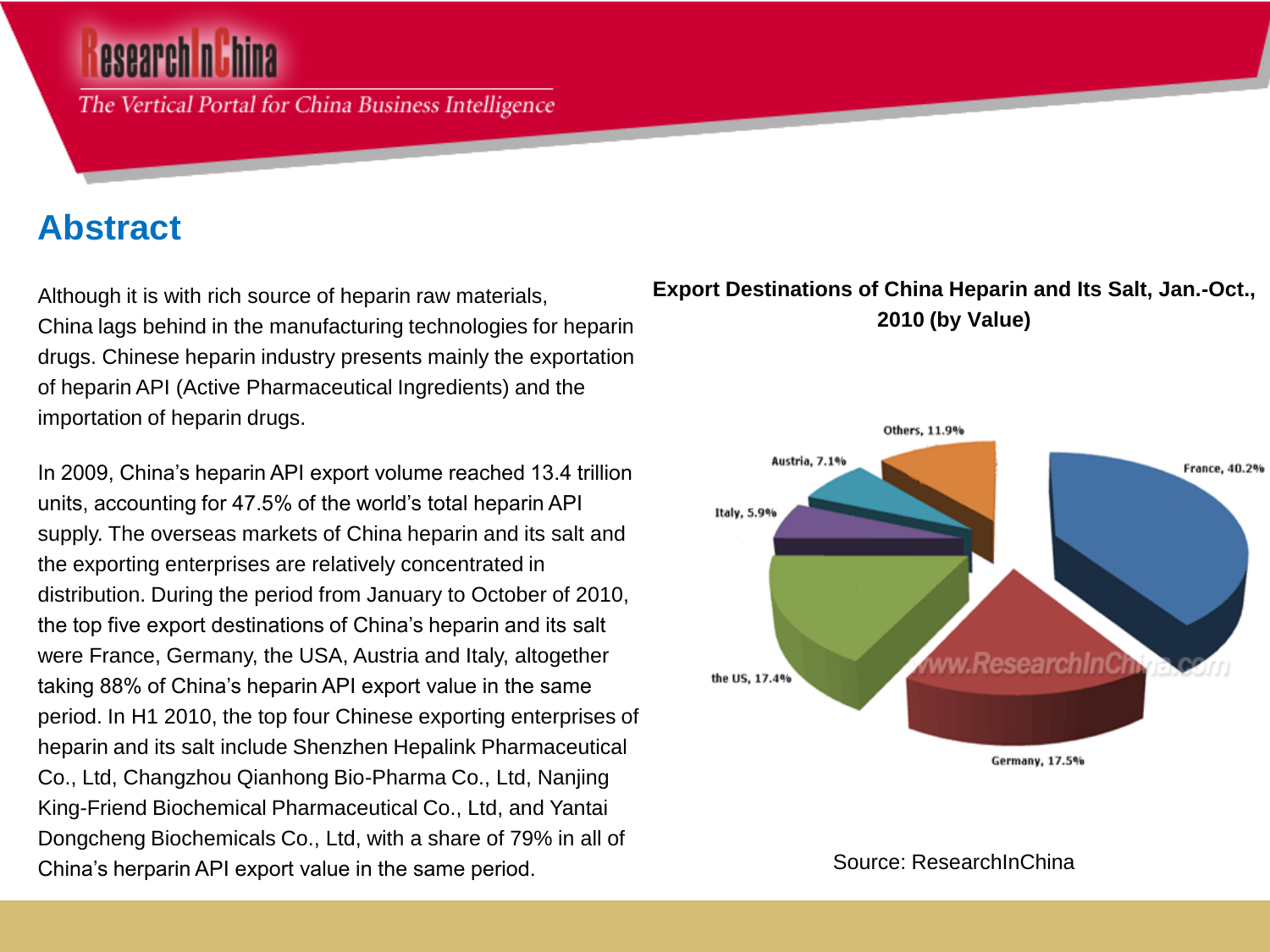The Vertical Portal for China Business Intelligence

# **Abstract**

Although it is with rich source of heparin raw materials, China lags behind in the manufacturing technologies for heparin drugs. Chinese heparin industry presents mainly the exportation of heparin API (Active Pharmaceutical Ingredients) and the importation of heparin drugs.

In 2009, China's heparin API export volume reached 13.4 trillion units, accounting for 47.5% of the world's total heparin API supply. The overseas markets of China heparin and its salt and the exporting enterprises are relatively concentrated in distribution. During the period from January to October of 2010, the top five export destinations of China's heparin and its salt were France, Germany, the USA, Austria and Italy, altogether taking 88% of China's heparin API export value in the same period. In H1 2010, the top four Chinese exporting enterprises of heparin and its salt include Shenzhen Hepalink Pharmaceutical Co., Ltd, Changzhou Qianhong Bio-Pharma Co., Ltd, Nanjing King-Friend Biochemical Pharmaceutical Co., Ltd, and Yantai Dongcheng Biochemicals Co., Ltd, with a share of 79% in all of China's herparin API export value in the same period.

### **Export Destinations of China Heparin and Its Salt, Jan.-Oct., 2010 (by Value)**



Source: ResearchInChina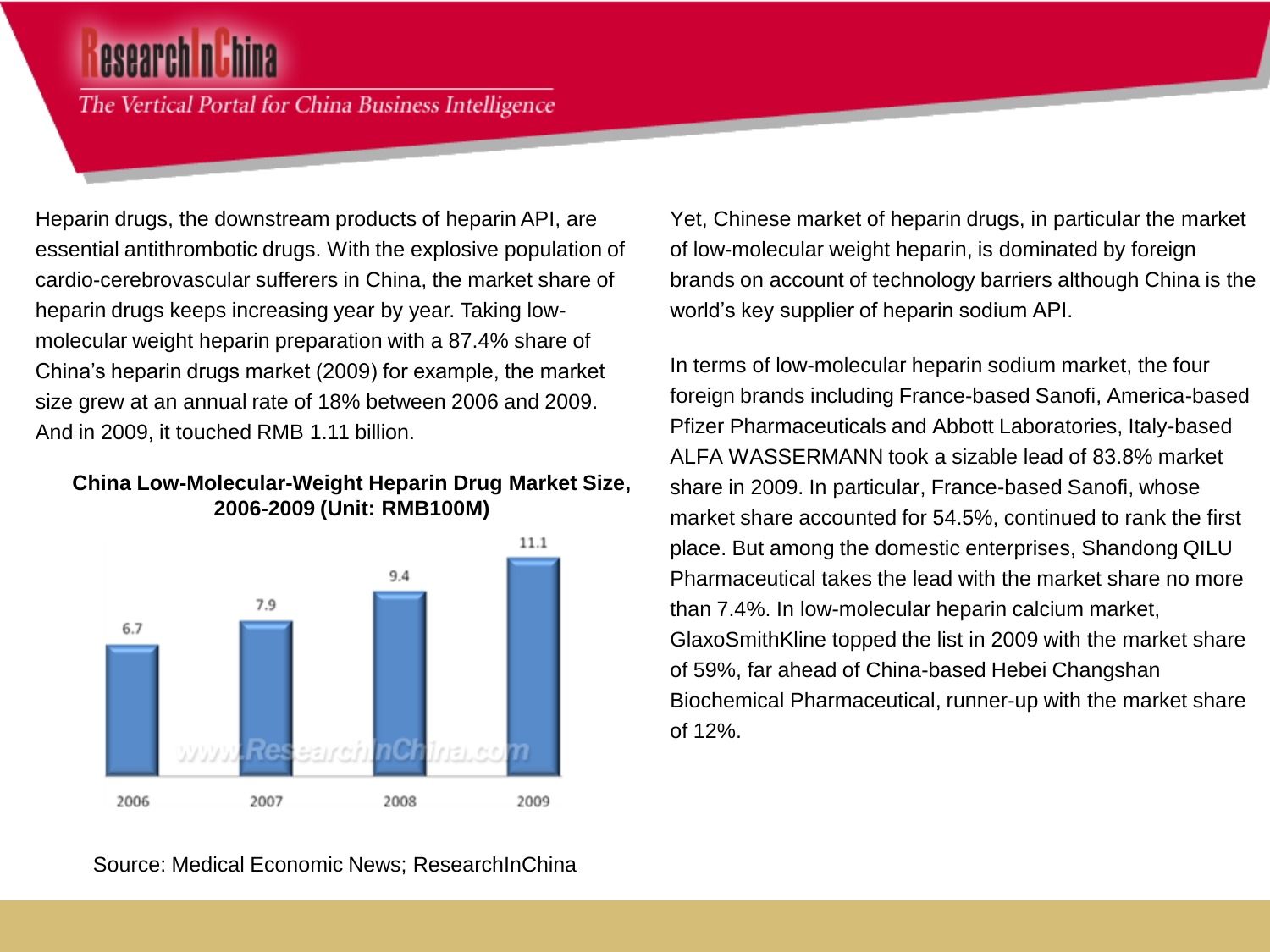The Vertical Portal for China Business Intelligence

Heparin drugs, the downstream products of heparin API, are essential antithrombotic drugs. With the explosive population of cardio-cerebrovascular sufferers in China, the market share of heparin drugs keeps increasing year by year. Taking lowmolecular weight heparin preparation with a 87.4% share of China's heparin drugs market (2009) for example, the market size grew at an annual rate of 18% between 2006 and 2009. And in 2009, it touched RMB 1.11 billion.

#### **China Low-Molecular-Weight Heparin Drug Market Size, 2006-2009 (Unit: RMB100M)**



Yet, Chinese market of heparin drugs, in particular the market of low-molecular weight heparin, is dominated by foreign brands on account of technology barriers although China is the world's key supplier of heparin sodium API.

In terms of low-molecular heparin sodium market, the four foreign brands including France-based Sanofi, America-based Pfizer Pharmaceuticals and Abbott Laboratories, Italy-based ALFA WASSERMANN took a sizable lead of 83.8% market share in 2009. In particular, France-based Sanofi, whose market share accounted for 54.5%, continued to rank the first place. But among the domestic enterprises, Shandong QILU Pharmaceutical takes the lead with the market share no more than 7.4%. In low-molecular heparin calcium market, GlaxoSmithKline topped the list in 2009 with the market share of 59%, far ahead of China-based Hebei Changshan Biochemical Pharmaceutical, runner-up with the market share of 12%.

Source: Medical Economic News; ResearchInChina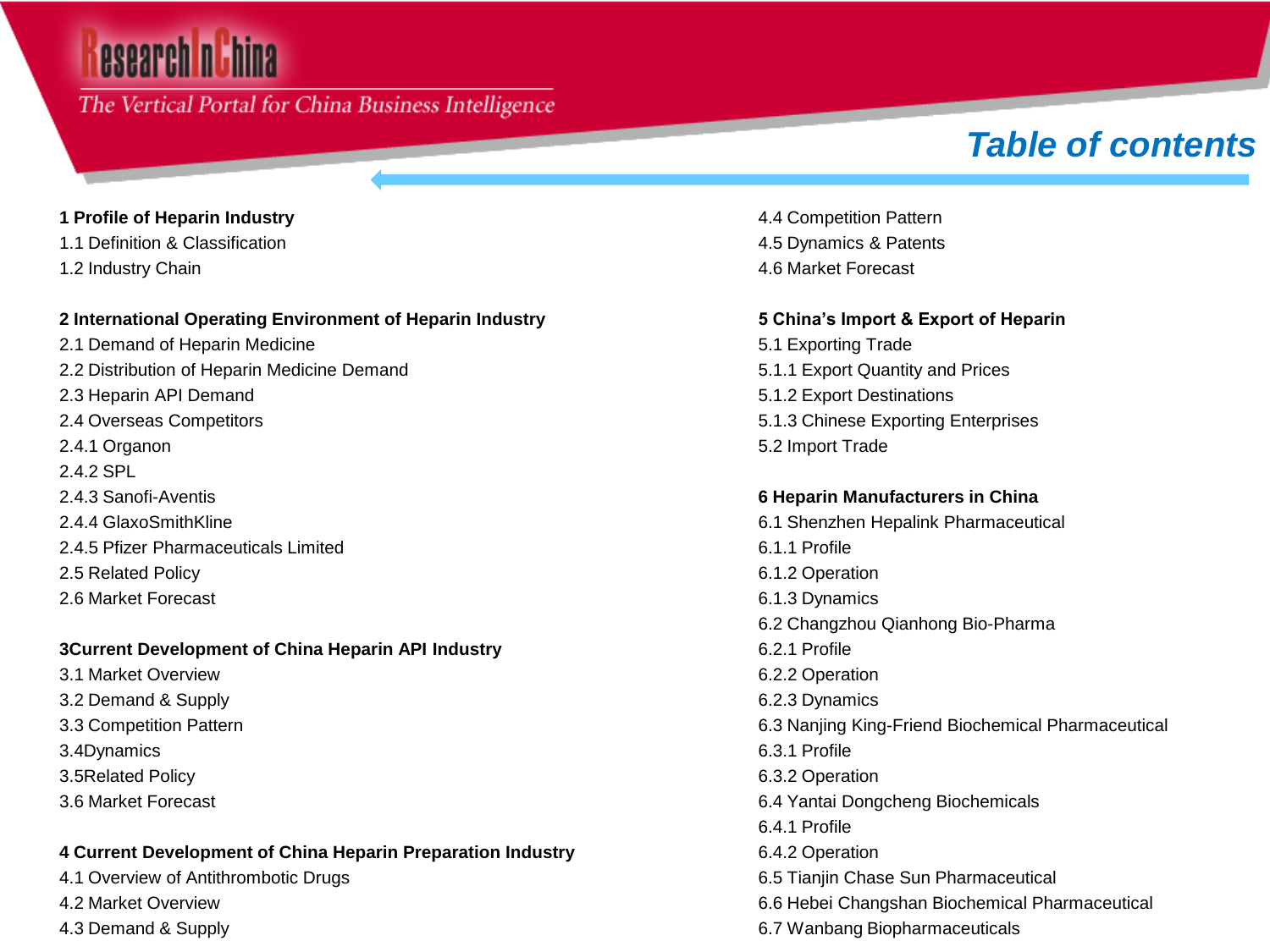# esearch nu hina

### The Vertical Portal for China Business Intelligence

# *Table of contents*

#### **1 Profile of Heparin Industry**

- 1.1 Definition & Classification
- 1.2 Industry Chain

#### **2 International Operating Environment of Heparin Industry**

2.1 Demand of Heparin Medicine 2.2 Distribution of Heparin Medicine Demand 2.3 Heparin API Demand 2.4 Overseas Competitors 2.4.1 Organon 2.4.2 SPL 2.4.3 Sanofi-Aventis 2.4.4 GlaxoSmithKline 2.4.5 Pfizer Pharmaceuticals Limited 2.5 Related Policy 2.6 Market Forecast

#### **3Current Development of China Heparin API Industry**

3.1 Market Overview 3.2 Demand & Supply 3.3 Competition Pattern 3.4Dynamics 3.5Related Policy 3.6 Market Forecast

#### **4 Current Development of China Heparin Preparation Industry**

4.1 Overview of Antithrombotic Drugs 4.2 Market Overview 4.3 Demand & Supply

4.4 Competition Pattern 4.5 Dynamics & Patents 4.6 Market Forecast

#### **5 China's Import & Export of Heparin**

5.1 Exporting Trade 5.1.1 Export Quantity and Prices 5.1.2 Export Destinations 5.1.3 Chinese Exporting Enterprises 5.2 Import Trade

#### **6 Heparin Manufacturers in China**

6.1 Shenzhen Hepalink Pharmaceutical 6.1.1 Profile 6.1.2 Operation 6.1.3 Dynamics 6.2 Changzhou Qianhong Bio-Pharma 6.2.1 Profile 6.2.2 Operation 6.2.3 Dynamics 6.3 Nanjing King-Friend Biochemical Pharmaceutical 6.3.1 Profile 6.3.2 Operation 6.4 Yantai Dongcheng Biochemicals 6.4.1 Profile 6.4.2 Operation 6.5 Tianjin Chase Sun Pharmaceutical 6.6 Hebei Changshan Biochemical Pharmaceutical 6.7 Wanbang Biopharmaceuticals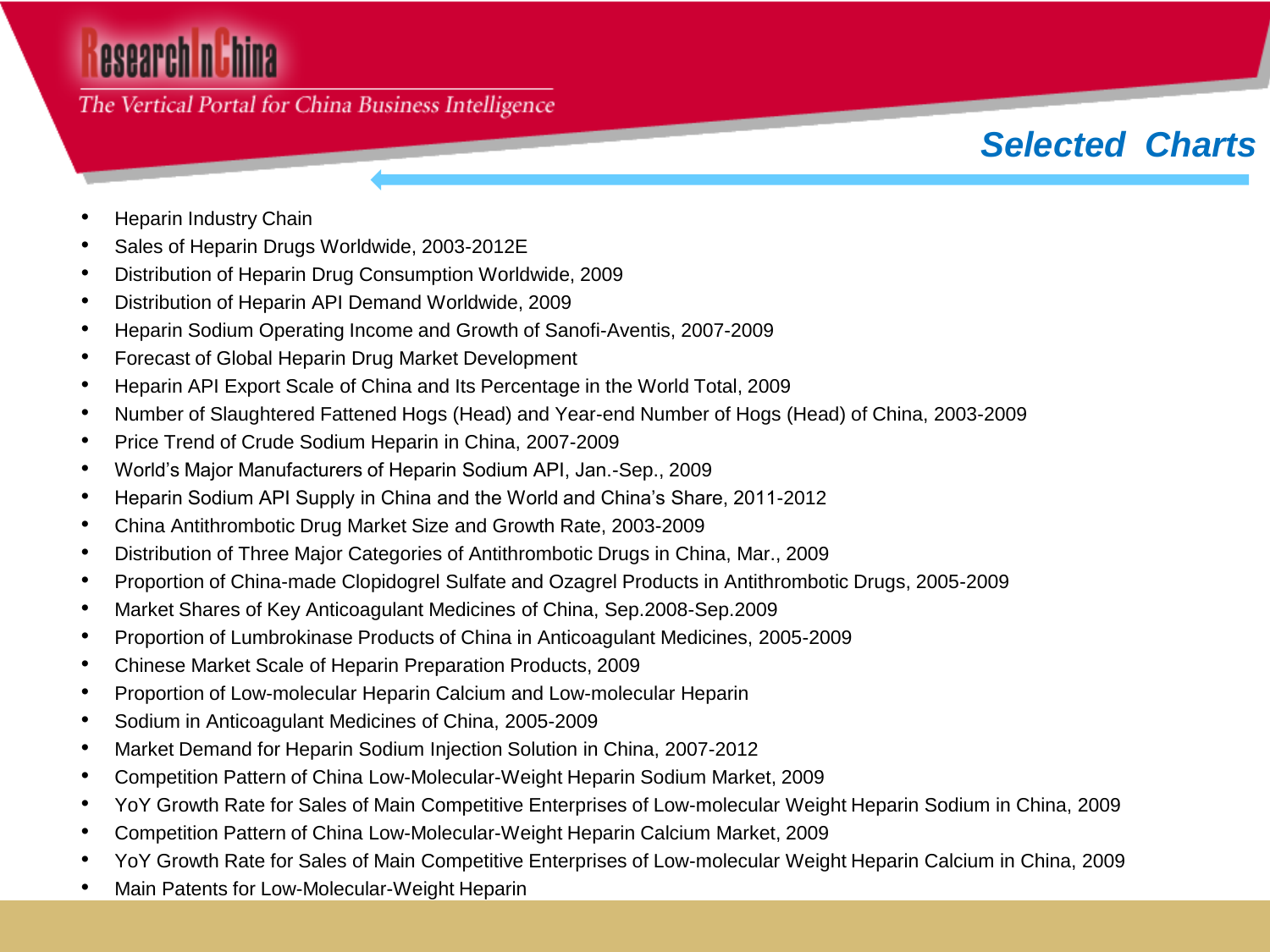# esearch nuhina

### The Vertical Portal for China Business Intelligence

# *Selected Charts*

- Heparin Industry Chain
- Sales of Heparin Drugs Worldwide, 2003-2012E
- Distribution of Heparin Drug Consumption Worldwide, 2009
- Distribution of Heparin API Demand Worldwide, 2009
- Heparin Sodium Operating Income and Growth of Sanofi-Aventis, 2007-2009
- Forecast of Global Heparin Drug Market Development
- Heparin API Export Scale of China and Its Percentage in the World Total, 2009
- Number of Slaughtered Fattened Hogs (Head) and Year-end Number of Hogs (Head) of China, 2003-2009
- Price Trend of Crude Sodium Heparin in China, 2007-2009
- World's Major Manufacturers of Heparin Sodium API, Jan.-Sep., 2009
- Heparin Sodium API Supply in China and the World and China's Share, 2011-2012
- China Antithrombotic Drug Market Size and Growth Rate, 2003-2009
- Distribution of Three Major Categories of Antithrombotic Drugs in China, Mar., 2009
- Proportion of China-made Clopidogrel Sulfate and Ozagrel Products in Antithrombotic Drugs, 2005-2009
- Market Shares of Key Anticoagulant Medicines of China, Sep.2008-Sep.2009
- Proportion of Lumbrokinase Products of China in Anticoagulant Medicines, 2005-2009
- Chinese Market Scale of Heparin Preparation Products, 2009
- Proportion of Low-molecular Heparin Calcium and Low-molecular Heparin
- Sodium in Anticoagulant Medicines of China, 2005-2009
- Market Demand for Heparin Sodium Injection Solution in China, 2007-2012
- Competition Pattern of China Low-Molecular-Weight Heparin Sodium Market, 2009
- YoY Growth Rate for Sales of Main Competitive Enterprises of Low-molecular Weight Heparin Sodium in China, 2009
- Competition Pattern of China Low-Molecular-Weight Heparin Calcium Market, 2009
- YoY Growth Rate for Sales of Main Competitive Enterprises of Low-molecular Weight Heparin Calcium in China, 2009
- Main Patents for Low-Molecular-Weight Heparin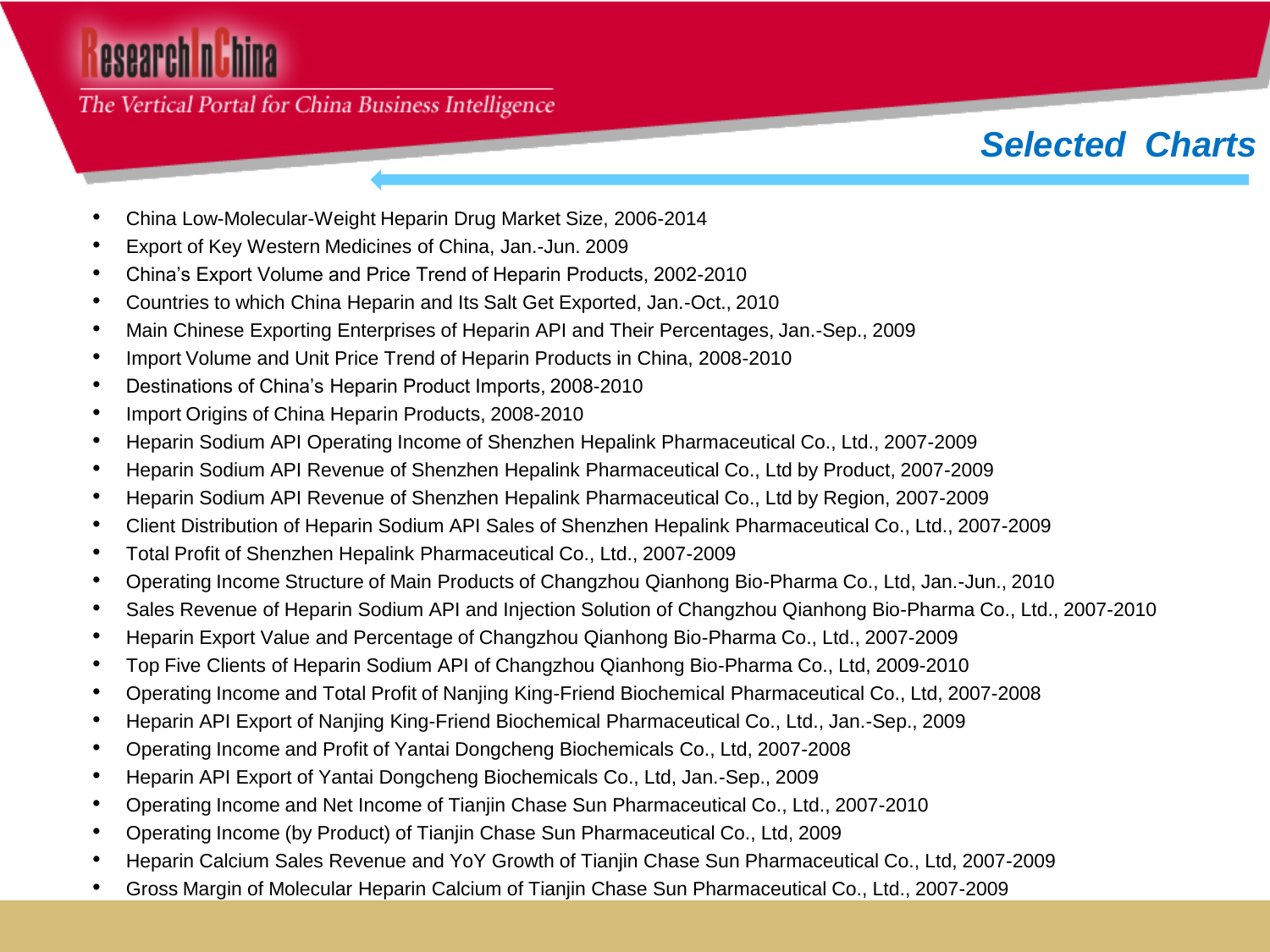# esearch nuhina

The Vertical Portal for China Business Intelligence

## *Selected Charts*

- China Low-Molecular-Weight Heparin Drug Market Size, 2006-2014
- Export of Key Western Medicines of China, Jan.-Jun. 2009
- China's Export Volume and Price Trend of Heparin Products, 2002-2010
- Countries to which China Heparin and Its Salt Get Exported, Jan.-Oct., 2010
- Main Chinese Exporting Enterprises of Heparin API and Their Percentages, Jan.-Sep., 2009
- Import Volume and Unit Price Trend of Heparin Products in China, 2008-2010
- Destinations of China's Heparin Product Imports, 2008-2010
- Import Origins of China Heparin Products, 2008-2010
- Heparin Sodium API Operating Income of Shenzhen Hepalink Pharmaceutical Co., Ltd., 2007-2009
- Heparin Sodium API Revenue of Shenzhen Hepalink Pharmaceutical Co., Ltd by Product, 2007-2009
- Heparin Sodium API Revenue of Shenzhen Hepalink Pharmaceutical Co., Ltd by Region, 2007-2009
- Client Distribution of Heparin Sodium API Sales of Shenzhen Hepalink Pharmaceutical Co., Ltd., 2007-2009
- Total Profit of Shenzhen Hepalink Pharmaceutical Co., Ltd., 2007-2009
- Operating Income Structure of Main Products of Changzhou Qianhong Bio-Pharma Co., Ltd, Jan.-Jun., 2010
- Sales Revenue of Heparin Sodium API and Injection Solution of Changzhou Qianhong Bio-Pharma Co., Ltd., 2007-2010
- Heparin Export Value and Percentage of Changzhou Qianhong Bio-Pharma Co., Ltd., 2007-2009
- Top Five Clients of Heparin Sodium API of Changzhou Qianhong Bio-Pharma Co., Ltd, 2009-2010
- Operating Income and Total Profit of Nanjing King-Friend Biochemical Pharmaceutical Co., Ltd, 2007-2008
- Heparin API Export of Nanjing King-Friend Biochemical Pharmaceutical Co., Ltd., Jan.-Sep., 2009
- Operating Income and Profit of Yantai Dongcheng Biochemicals Co., Ltd, 2007-2008
- Heparin API Export of Yantai Dongcheng Biochemicals Co., Ltd, Jan.-Sep., 2009
- Operating Income and Net Income of Tianjin Chase Sun Pharmaceutical Co., Ltd., 2007-2010
- Operating Income (by Product) of Tianjin Chase Sun Pharmaceutical Co., Ltd, 2009
- Heparin Calcium Sales Revenue and YoY Growth of Tianjin Chase Sun Pharmaceutical Co., Ltd, 2007-2009
- Gross Margin of Molecular Heparin Calcium of Tianjin Chase Sun Pharmaceutical Co., Ltd., 2007-2009